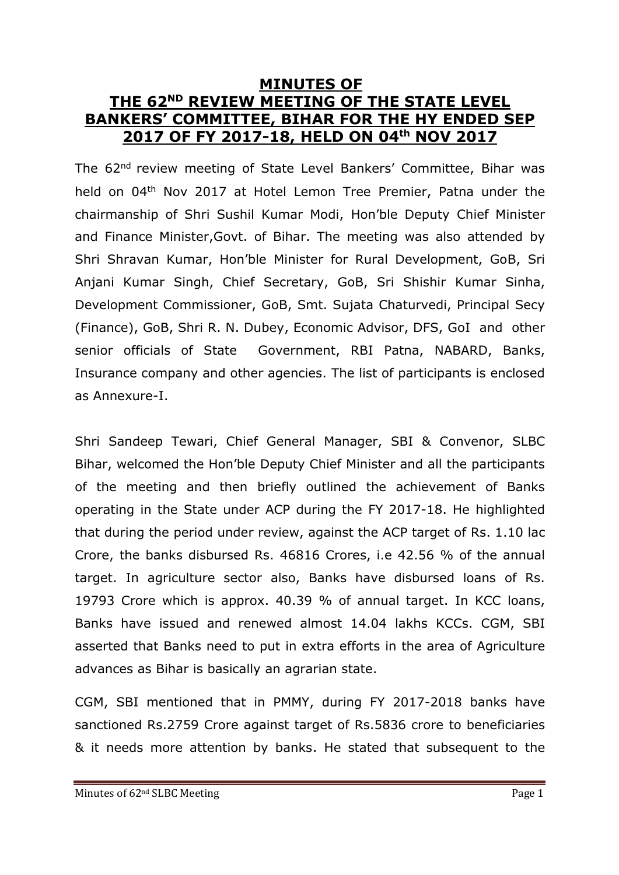# **MINUTES OF THE 62ND REVIEW MEETING OF THE STATE LEVEL BANKERS' COMMITTEE, BIHAR FOR THE HY ENDED SEP 2017 OF FY 2017-18, HELD ON 04th NOV 2017**

The 62<sup>nd</sup> review meeting of State Level Bankers' Committee, Bihar was held on 04<sup>th</sup> Nov 2017 at Hotel Lemon Tree Premier, Patna under the chairmanship of Shri Sushil Kumar Modi, Hon'ble Deputy Chief Minister and Finance Minister,Govt. of Bihar. The meeting was also attended by Shri Shravan Kumar, Hon'ble Minister for Rural Development, GoB, Sri Anjani Kumar Singh, Chief Secretary, GoB, Sri Shishir Kumar Sinha, Development Commissioner, GoB, Smt. Sujata Chaturvedi, Principal Secy (Finance), GoB, Shri R. N. Dubey, Economic Advisor, DFS, GoI and other senior officials of State Government, RBI Patna, NABARD, Banks, Insurance company and other agencies. The list of participants is enclosed as Annexure-I.

Shri Sandeep Tewari, Chief General Manager, SBI & Convenor, SLBC Bihar, welcomed the Hon'ble Deputy Chief Minister and all the participants of the meeting and then briefly outlined the achievement of Banks operating in the State under ACP during the FY 2017-18. He highlighted that during the period under review, against the ACP target of Rs. 1.10 lac Crore, the banks disbursed Rs. 46816 Crores, i.e 42.56 % of the annual target. In agriculture sector also, Banks have disbursed loans of Rs. 19793 Crore which is approx. 40.39 % of annual target. In KCC loans, Banks have issued and renewed almost 14.04 lakhs KCCs. CGM, SBI asserted that Banks need to put in extra efforts in the area of Agriculture advances as Bihar is basically an agrarian state.

CGM, SBI mentioned that in PMMY, during FY 2017-2018 banks have sanctioned Rs.2759 Crore against target of Rs.5836 crore to beneficiaries & it needs more attention by banks. He stated that subsequent to the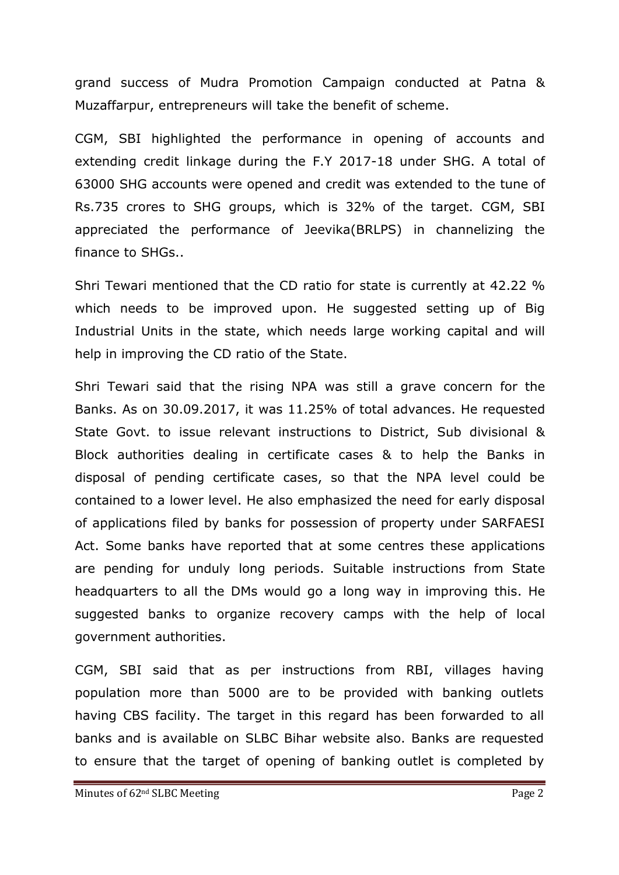grand success of Mudra Promotion Campaign conducted at Patna & Muzaffarpur, entrepreneurs will take the benefit of scheme.

CGM, SBI highlighted the performance in opening of accounts and extending credit linkage during the F.Y 2017-18 under SHG. A total of 63000 SHG accounts were opened and credit was extended to the tune of Rs.735 crores to SHG groups, which is 32% of the target. CGM, SBI appreciated the performance of Jeevika(BRLPS) in channelizing the finance to SHGs..

Shri Tewari mentioned that the CD ratio for state is currently at 42.22 % which needs to be improved upon. He suggested setting up of Big Industrial Units in the state, which needs large working capital and will help in improving the CD ratio of the State.

Shri Tewari said that the rising NPA was still a grave concern for the Banks. As on 30.09.2017, it was 11.25% of total advances. He requested State Govt. to issue relevant instructions to District, Sub divisional & Block authorities dealing in certificate cases & to help the Banks in disposal of pending certificate cases, so that the NPA level could be contained to a lower level. He also emphasized the need for early disposal of applications filed by banks for possession of property under SARFAESI Act. Some banks have reported that at some centres these applications are pending for unduly long periods. Suitable instructions from State headquarters to all the DMs would go a long way in improving this. He suggested banks to organize recovery camps with the help of local government authorities.

CGM, SBI said that as per instructions from RBI, villages having population more than 5000 are to be provided with banking outlets having CBS facility. The target in this regard has been forwarded to all banks and is available on SLBC Bihar website also. Banks are requested to ensure that the target of opening of banking outlet is completed by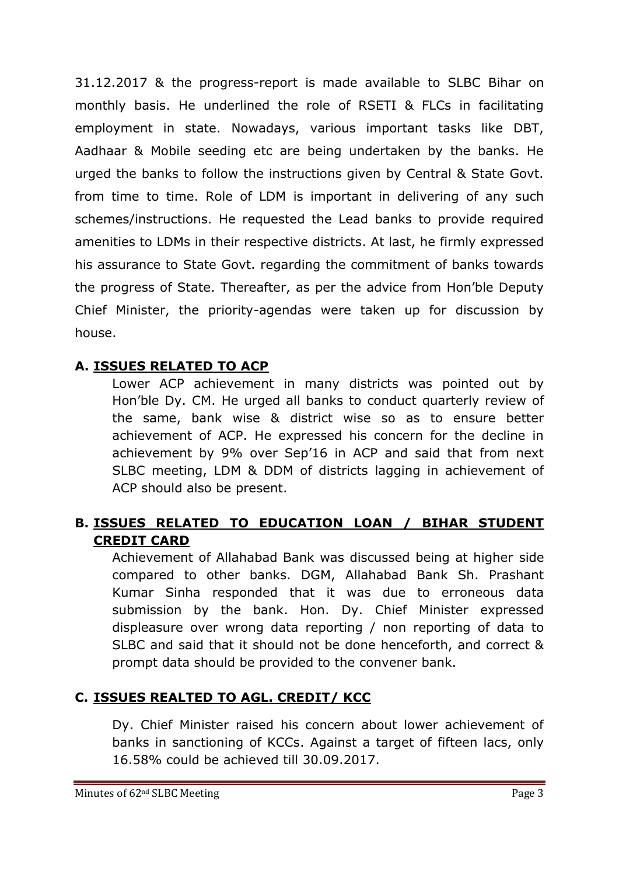31.12.2017 & the progress-report is made available to SLBC Bihar on monthly basis. He underlined the role of RSETI & FLCs in facilitating employment in state. Nowadays, various important tasks like DBT, Aadhaar & Mobile seeding etc are being undertaken by the banks. He urged the banks to follow the instructions given by Central & State Govt. from time to time. Role of LDM is important in delivering of any such schemes/instructions. He requested the Lead banks to provide required amenities to LDMs in their respective districts. At last, he firmly expressed his assurance to State Govt. regarding the commitment of banks towards the progress of State. Thereafter, as per the advice from Hon'ble Deputy Chief Minister, the priority-agendas were taken up for discussion by house.

## **A. ISSUES RELATED TO ACP**

Lower ACP achievement in many districts was pointed out by Hon'ble Dy. CM. He urged all banks to conduct quarterly review of the same, bank wise & district wise so as to ensure better achievement of ACP. He expressed his concern for the decline in achievement by 9% over Sep'16 in ACP and said that from next SLBC meeting, LDM & DDM of districts lagging in achievement of ACP should also be present.

## **B. ISSUES RELATED TO EDUCATION LOAN / BIHAR STUDENT CREDIT CARD**

Achievement of Allahabad Bank was discussed being at higher side compared to other banks. DGM, Allahabad Bank Sh. Prashant Kumar Sinha responded that it was due to erroneous data submission by the bank. Hon. Dy. Chief Minister expressed displeasure over wrong data reporting / non reporting of data to SLBC and said that it should not be done henceforth, and correct & prompt data should be provided to the convener bank.

## **C. ISSUES REALTED TO AGL. CREDIT/ KCC**

Dy. Chief Minister raised his concern about lower achievement of banks in sanctioning of KCCs. Against a target of fifteen lacs, only 16.58% could be achieved till 30.09.2017.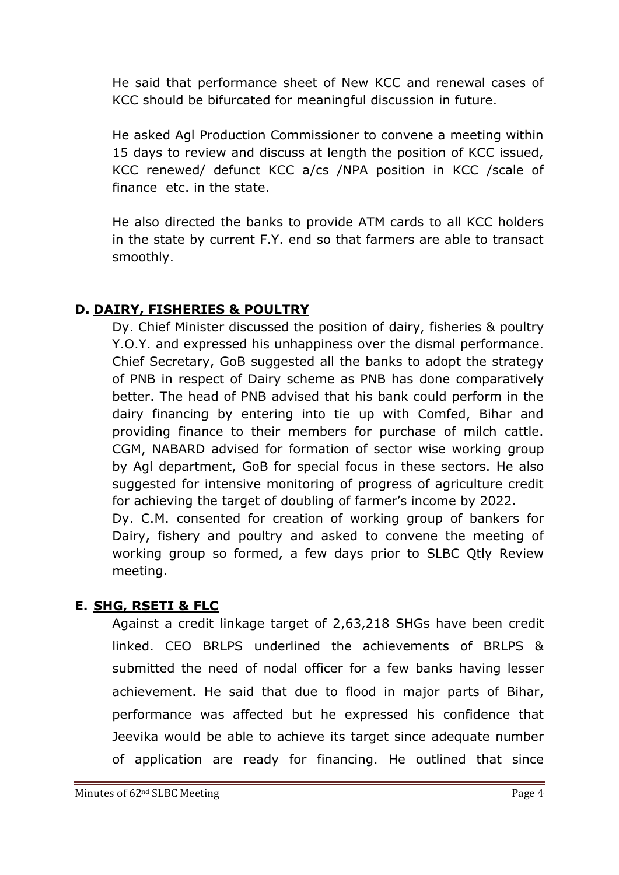He said that performance sheet of New KCC and renewal cases of KCC should be bifurcated for meaningful discussion in future.

He asked Agl Production Commissioner to convene a meeting within 15 days to review and discuss at length the position of KCC issued, KCC renewed/ defunct KCC a/cs /NPA position in KCC /scale of finance etc. in the state.

He also directed the banks to provide ATM cards to all KCC holders in the state by current F.Y. end so that farmers are able to transact smoothly.

## **D. DAIRY, FISHERIES & POULTRY**

Dy. Chief Minister discussed the position of dairy, fisheries & poultry Y.O.Y. and expressed his unhappiness over the dismal performance. Chief Secretary, GoB suggested all the banks to adopt the strategy of PNB in respect of Dairy scheme as PNB has done comparatively better. The head of PNB advised that his bank could perform in the dairy financing by entering into tie up with Comfed, Bihar and providing finance to their members for purchase of milch cattle. CGM, NABARD advised for formation of sector wise working group by Agl department, GoB for special focus in these sectors. He also suggested for intensive monitoring of progress of agriculture credit for achieving the target of doubling of farmer's income by 2022. Dy. C.M. consented for creation of working group of bankers for

Dairy, fishery and poultry and asked to convene the meeting of working group so formed, a few days prior to SLBC Qtly Review meeting.

## **E. SHG, RSETI & FLC**

Against a credit linkage target of 2,63,218 SHGs have been credit linked. CEO BRLPS underlined the achievements of BRLPS & submitted the need of nodal officer for a few banks having lesser achievement. He said that due to flood in major parts of Bihar, performance was affected but he expressed his confidence that Jeevika would be able to achieve its target since adequate number of application are ready for financing. He outlined that since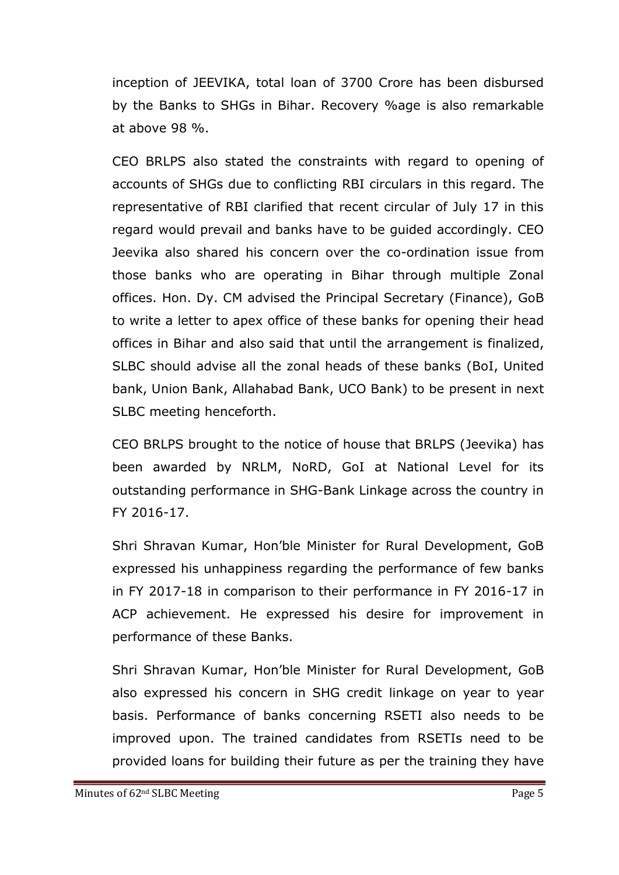inception of JEEVIKA, total loan of 3700 Crore has been disbursed by the Banks to SHGs in Bihar. Recovery %age is also remarkable at above 98 %.

CEO BRLPS also stated the constraints with regard to opening of accounts of SHGs due to conflicting RBI circulars in this regard. The representative of RBI clarified that recent circular of July 17 in this regard would prevail and banks have to be guided accordingly. CEO Jeevika also shared his concern over the co-ordination issue from those banks who are operating in Bihar through multiple Zonal offices. Hon. Dy. CM advised the Principal Secretary (Finance), GoB to write a letter to apex office of these banks for opening their head offices in Bihar and also said that until the arrangement is finalized, SLBC should advise all the zonal heads of these banks (BoI, United bank, Union Bank, Allahabad Bank, UCO Bank) to be present in next SLBC meeting henceforth.

CEO BRLPS brought to the notice of house that BRLPS (Jeevika) has been awarded by NRLM, NoRD, GoI at National Level for its outstanding performance in SHG-Bank Linkage across the country in FY 2016-17.

Shri Shravan Kumar, Hon'ble Minister for Rural Development, GoB expressed his unhappiness regarding the performance of few banks in FY 2017-18 in comparison to their performance in FY 2016-17 in ACP achievement. He expressed his desire for improvement in performance of these Banks.

Shri Shravan Kumar, Hon'ble Minister for Rural Development, GoB also expressed his concern in SHG credit linkage on year to year basis. Performance of banks concerning RSETI also needs to be improved upon. The trained candidates from RSETIs need to be provided loans for building their future as per the training they have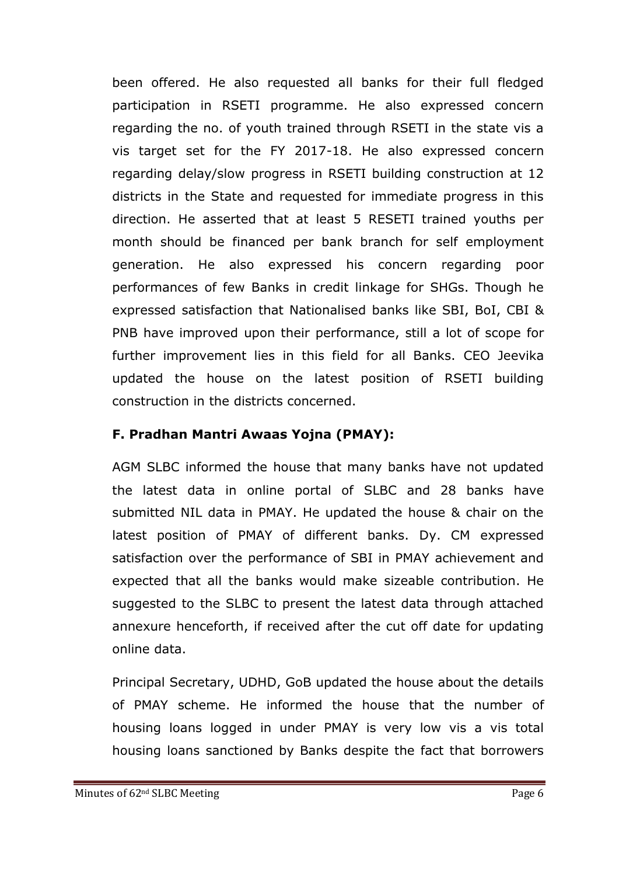been offered. He also requested all banks for their full fledged participation in RSETI programme. He also expressed concern regarding the no. of youth trained through RSETI in the state vis a vis target set for the FY 2017-18. He also expressed concern regarding delay/slow progress in RSETI building construction at 12 districts in the State and requested for immediate progress in this direction. He asserted that at least 5 RESETI trained youths per month should be financed per bank branch for self employment generation. He also expressed his concern regarding poor performances of few Banks in credit linkage for SHGs. Though he expressed satisfaction that Nationalised banks like SBI, BoI, CBI & PNB have improved upon their performance, still a lot of scope for further improvement lies in this field for all Banks. CEO Jeevika updated the house on the latest position of RSETI building construction in the districts concerned.

## **F. Pradhan Mantri Awaas Yojna (PMAY):**

AGM SLBC informed the house that many banks have not updated the latest data in online portal of SLBC and 28 banks have submitted NIL data in PMAY. He updated the house & chair on the latest position of PMAY of different banks. Dy. CM expressed satisfaction over the performance of SBI in PMAY achievement and expected that all the banks would make sizeable contribution. He suggested to the SLBC to present the latest data through attached annexure henceforth, if received after the cut off date for updating online data.

Principal Secretary, UDHD, GoB updated the house about the details of PMAY scheme. He informed the house that the number of housing loans logged in under PMAY is very low vis a vis total housing loans sanctioned by Banks despite the fact that borrowers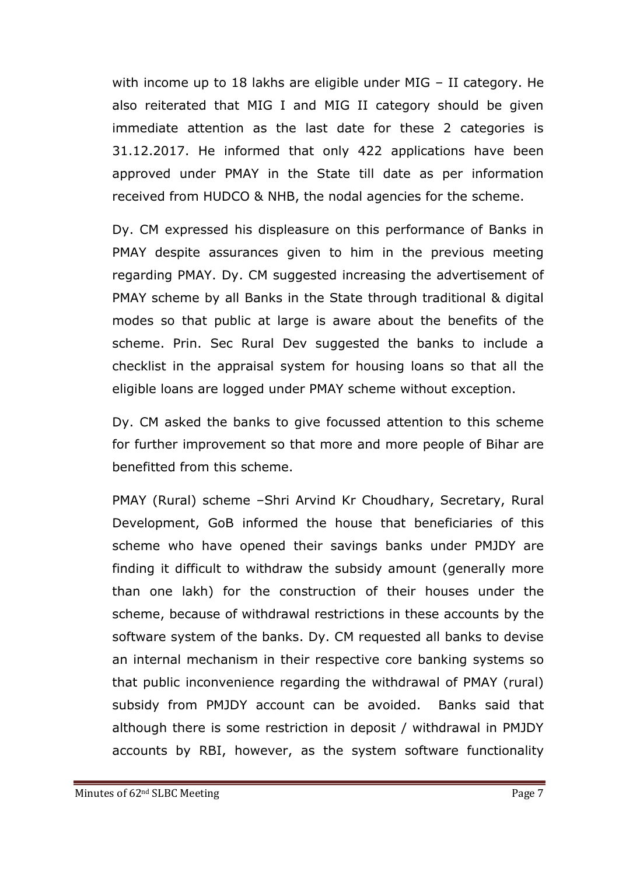with income up to 18 lakhs are eligible under MIG – II category. He also reiterated that MIG I and MIG II category should be given immediate attention as the last date for these 2 categories is 31.12.2017. He informed that only 422 applications have been approved under PMAY in the State till date as per information received from HUDCO & NHB, the nodal agencies for the scheme.

Dy. CM expressed his displeasure on this performance of Banks in PMAY despite assurances given to him in the previous meeting regarding PMAY. Dy. CM suggested increasing the advertisement of PMAY scheme by all Banks in the State through traditional & digital modes so that public at large is aware about the benefits of the scheme. Prin. Sec Rural Dev suggested the banks to include a checklist in the appraisal system for housing loans so that all the eligible loans are logged under PMAY scheme without exception.

Dy. CM asked the banks to give focussed attention to this scheme for further improvement so that more and more people of Bihar are benefitted from this scheme.

PMAY (Rural) scheme –Shri Arvind Kr Choudhary, Secretary, Rural Development, GoB informed the house that beneficiaries of this scheme who have opened their savings banks under PMJDY are finding it difficult to withdraw the subsidy amount (generally more than one lakh) for the construction of their houses under the scheme, because of withdrawal restrictions in these accounts by the software system of the banks. Dy. CM requested all banks to devise an internal mechanism in their respective core banking systems so that public inconvenience regarding the withdrawal of PMAY (rural) subsidy from PMJDY account can be avoided. Banks said that although there is some restriction in deposit / withdrawal in PMJDY accounts by RBI, however, as the system software functionality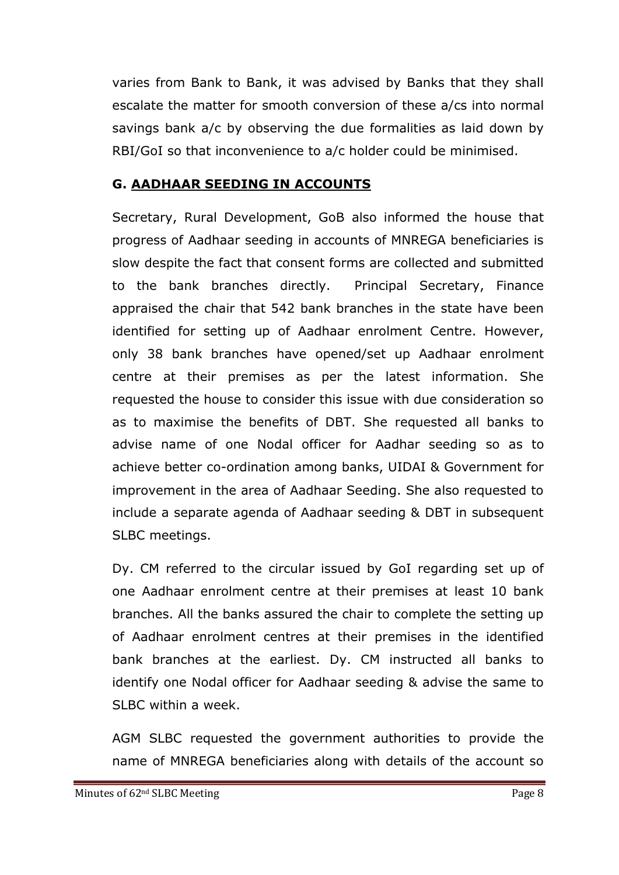varies from Bank to Bank, it was advised by Banks that they shall escalate the matter for smooth conversion of these a/cs into normal savings bank a/c by observing the due formalities as laid down by RBI/GoI so that inconvenience to a/c holder could be minimised.

#### **G. AADHAAR SEEDING IN ACCOUNTS**

Secretary, Rural Development, GoB also informed the house that progress of Aadhaar seeding in accounts of MNREGA beneficiaries is slow despite the fact that consent forms are collected and submitted to the bank branches directly. Principal Secretary, Finance appraised the chair that 542 bank branches in the state have been identified for setting up of Aadhaar enrolment Centre. However, only 38 bank branches have opened/set up Aadhaar enrolment centre at their premises as per the latest information. She requested the house to consider this issue with due consideration so as to maximise the benefits of DBT. She requested all banks to advise name of one Nodal officer for Aadhar seeding so as to achieve better co-ordination among banks, UIDAI & Government for improvement in the area of Aadhaar Seeding. She also requested to include a separate agenda of Aadhaar seeding & DBT in subsequent SLBC meetings.

Dy. CM referred to the circular issued by GoI regarding set up of one Aadhaar enrolment centre at their premises at least 10 bank branches. All the banks assured the chair to complete the setting up of Aadhaar enrolment centres at their premises in the identified bank branches at the earliest. Dy. CM instructed all banks to identify one Nodal officer for Aadhaar seeding & advise the same to SLBC within a week.

AGM SLBC requested the government authorities to provide the name of MNREGA beneficiaries along with details of the account so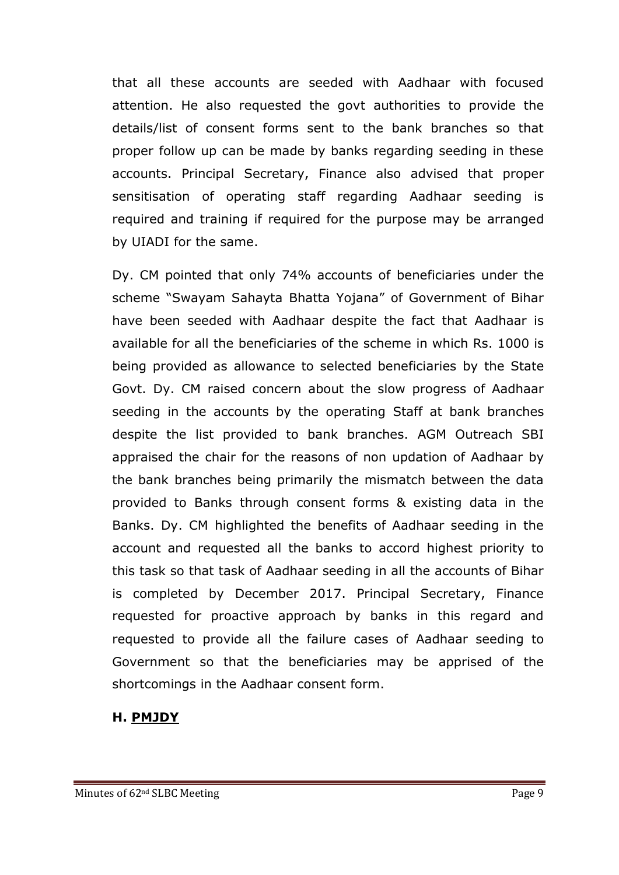that all these accounts are seeded with Aadhaar with focused attention. He also requested the govt authorities to provide the details/list of consent forms sent to the bank branches so that proper follow up can be made by banks regarding seeding in these accounts. Principal Secretary, Finance also advised that proper sensitisation of operating staff regarding Aadhaar seeding is required and training if required for the purpose may be arranged by UIADI for the same.

Dy. CM pointed that only 74% accounts of beneficiaries under the scheme "Swayam Sahayta Bhatta Yojana" of Government of Bihar have been seeded with Aadhaar despite the fact that Aadhaar is available for all the beneficiaries of the scheme in which Rs. 1000 is being provided as allowance to selected beneficiaries by the State Govt. Dy. CM raised concern about the slow progress of Aadhaar seeding in the accounts by the operating Staff at bank branches despite the list provided to bank branches. AGM Outreach SBI appraised the chair for the reasons of non updation of Aadhaar by the bank branches being primarily the mismatch between the data provided to Banks through consent forms & existing data in the Banks. Dy. CM highlighted the benefits of Aadhaar seeding in the account and requested all the banks to accord highest priority to this task so that task of Aadhaar seeding in all the accounts of Bihar is completed by December 2017. Principal Secretary, Finance requested for proactive approach by banks in this regard and requested to provide all the failure cases of Aadhaar seeding to Government so that the beneficiaries may be apprised of the shortcomings in the Aadhaar consent form.

#### **H. PMJDY**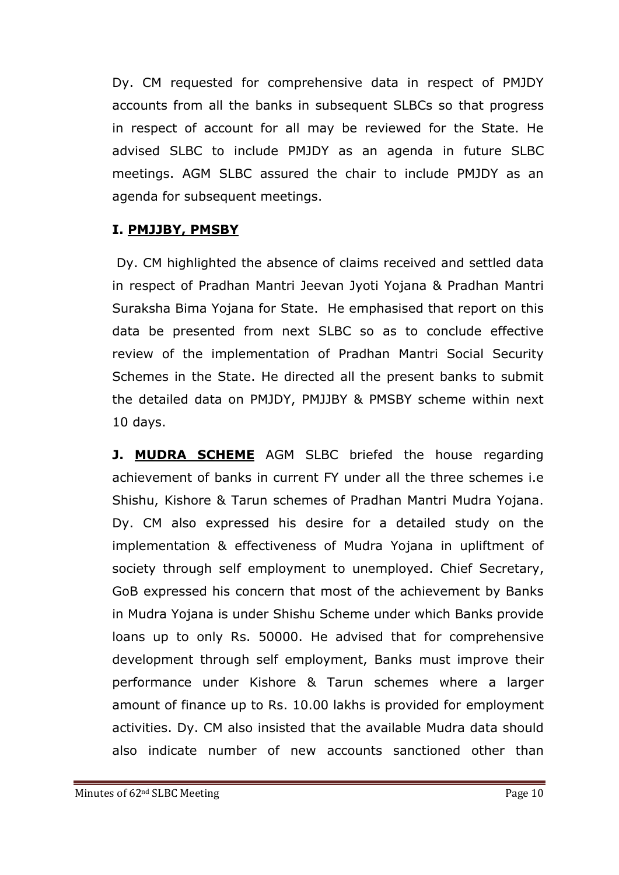Dy. CM requested for comprehensive data in respect of PMJDY accounts from all the banks in subsequent SLBCs so that progress in respect of account for all may be reviewed for the State. He advised SLBC to include PMJDY as an agenda in future SLBC meetings. AGM SLBC assured the chair to include PMJDY as an agenda for subsequent meetings.

## **I. PMJJBY, PMSBY**

Dy. CM highlighted the absence of claims received and settled data in respect of Pradhan Mantri Jeevan Jyoti Yojana & Pradhan Mantri Suraksha Bima Yojana for State. He emphasised that report on this data be presented from next SLBC so as to conclude effective review of the implementation of Pradhan Mantri Social Security Schemes in the State. He directed all the present banks to submit the detailed data on PMJDY, PMJJBY & PMSBY scheme within next 10 days.

**J. MUDRA SCHEME** AGM SLBC briefed the house regarding achievement of banks in current FY under all the three schemes i.e Shishu, Kishore & Tarun schemes of Pradhan Mantri Mudra Yojana. Dy. CM also expressed his desire for a detailed study on the implementation & effectiveness of Mudra Yojana in upliftment of society through self employment to unemployed. Chief Secretary, GoB expressed his concern that most of the achievement by Banks in Mudra Yojana is under Shishu Scheme under which Banks provide loans up to only Rs. 50000. He advised that for comprehensive development through self employment, Banks must improve their performance under Kishore & Tarun schemes where a larger amount of finance up to Rs. 10.00 lakhs is provided for employment activities. Dy. CM also insisted that the available Mudra data should also indicate number of new accounts sanctioned other than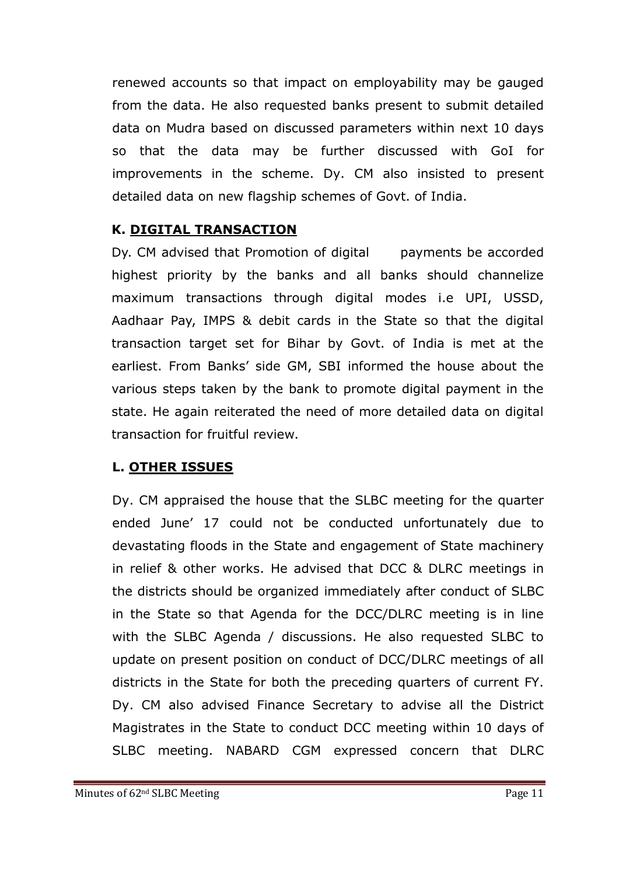renewed accounts so that impact on employability may be gauged from the data. He also requested banks present to submit detailed data on Mudra based on discussed parameters within next 10 days so that the data may be further discussed with GoI for improvements in the scheme. Dy. CM also insisted to present detailed data on new flagship schemes of Govt. of India.

## **K. DIGITAL TRANSACTION**

Dy. CM advised that Promotion of digital payments be accorded highest priority by the banks and all banks should channelize maximum transactions through digital modes i.e UPI, USSD, Aadhaar Pay, IMPS & debit cards in the State so that the digital transaction target set for Bihar by Govt. of India is met at the earliest. From Banks' side GM, SBI informed the house about the various steps taken by the bank to promote digital payment in the state. He again reiterated the need of more detailed data on digital transaction for fruitful review.

## **L. OTHER ISSUES**

Dy. CM appraised the house that the SLBC meeting for the quarter ended June' 17 could not be conducted unfortunately due to devastating floods in the State and engagement of State machinery in relief & other works. He advised that DCC & DLRC meetings in the districts should be organized immediately after conduct of SLBC in the State so that Agenda for the DCC/DLRC meeting is in line with the SLBC Agenda / discussions. He also requested SLBC to update on present position on conduct of DCC/DLRC meetings of all districts in the State for both the preceding quarters of current FY. Dy. CM also advised Finance Secretary to advise all the District Magistrates in the State to conduct DCC meeting within 10 days of SLBC meeting. NABARD CGM expressed concern that DLRC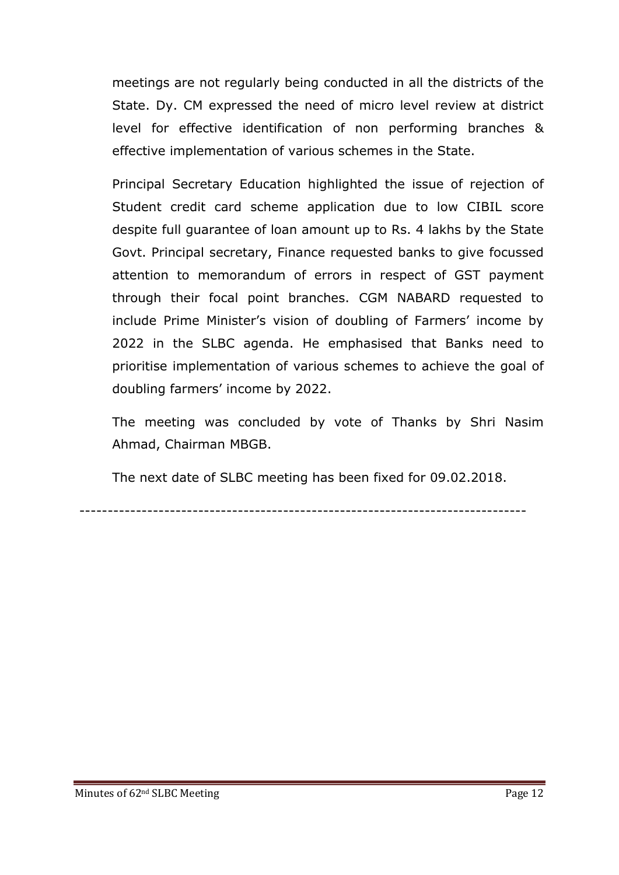meetings are not regularly being conducted in all the districts of the State. Dy. CM expressed the need of micro level review at district level for effective identification of non performing branches & effective implementation of various schemes in the State.

Principal Secretary Education highlighted the issue of rejection of Student credit card scheme application due to low CIBIL score despite full guarantee of loan amount up to Rs. 4 lakhs by the State Govt. Principal secretary, Finance requested banks to give focussed attention to memorandum of errors in respect of GST payment through their focal point branches. CGM NABARD requested to include Prime Minister's vision of doubling of Farmers' income by 2022 in the SLBC agenda. He emphasised that Banks need to prioritise implementation of various schemes to achieve the goal of doubling farmers' income by 2022.

The meeting was concluded by vote of Thanks by Shri Nasim Ahmad, Chairman MBGB.

The next date of SLBC meeting has been fixed for 09.02.2018.

-------------------------------------------------------------------------------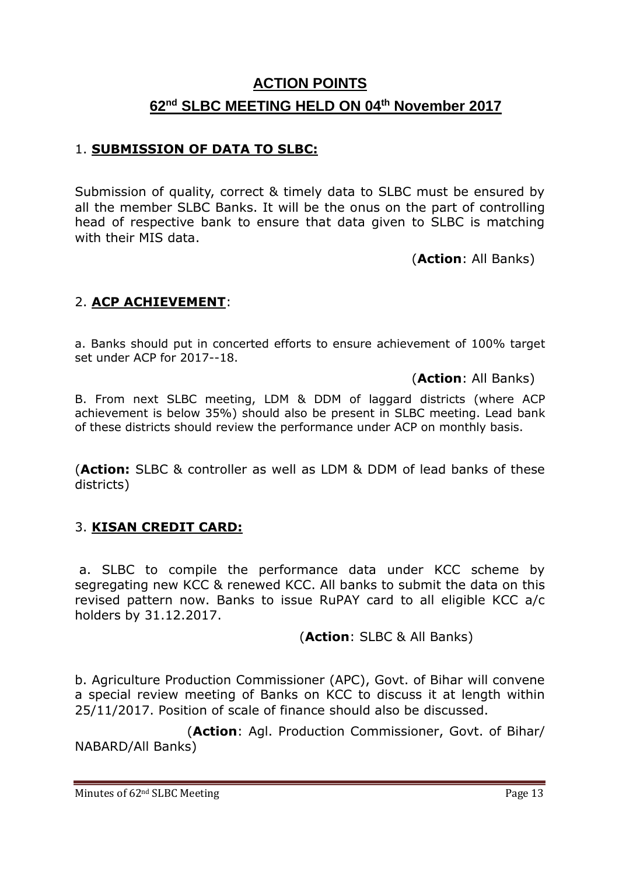# **ACTION POINTS 62nd SLBC MEETING HELD ON 04th November 2017**

#### 1. **SUBMISSION OF DATA TO SLBC:**

Submission of quality, correct & timely data to SLBC must be ensured by all the member SLBC Banks. It will be the onus on the part of controlling head of respective bank to ensure that data given to SLBC is matching with their MIS data.

(**Action**: All Banks)

## 2. **ACP ACHIEVEMENT**:

a. Banks should put in concerted efforts to ensure achievement of 100% target set under ACP for 2017--18.

(**Action**: All Banks)

B. From next SLBC meeting, LDM & DDM of laggard districts (where ACP achievement is below 35%) should also be present in SLBC meeting. Lead bank of these districts should review the performance under ACP on monthly basis.

(**Action:** SLBC & controller as well as LDM & DDM of lead banks of these districts)

#### 3. **KISAN CREDIT CARD:**

a. SLBC to compile the performance data under KCC scheme by segregating new KCC & renewed KCC. All banks to submit the data on this revised pattern now. Banks to issue RuPAY card to all eligible KCC a/c holders by 31.12.2017.

#### (**Action**: SLBC & All Banks)

b. Agriculture Production Commissioner (APC), Govt. of Bihar will convene a special review meeting of Banks on KCC to discuss it at length within 25/11/2017. Position of scale of finance should also be discussed.

(**Action**: Agl. Production Commissioner, Govt. of Bihar/ NABARD/All Banks)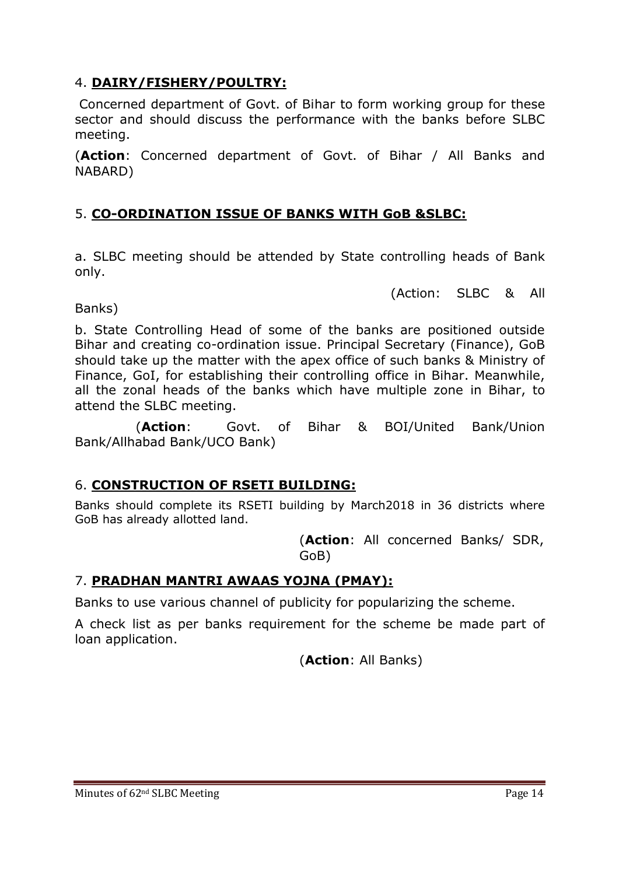## 4. **DAIRY/FISHERY/POULTRY:**

Concerned department of Govt. of Bihar to form working group for these sector and should discuss the performance with the banks before SLBC meeting.

(**Action**: Concerned department of Govt. of Bihar / All Banks and NABARD)

## 5. **CO-ORDINATION ISSUE OF BANKS WITH GoB &SLBC:**

a. SLBC meeting should be attended by State controlling heads of Bank only.

(Action: SLBC & All

#### Banks)

b. State Controlling Head of some of the banks are positioned outside Bihar and creating co-ordination issue. Principal Secretary (Finance), GoB should take up the matter with the apex office of such banks & Ministry of Finance, GoI, for establishing their controlling office in Bihar. Meanwhile, all the zonal heads of the banks which have multiple zone in Bihar, to attend the SLBC meeting.

(**Action**: Govt. of Bihar & BOI/United Bank/Union Bank/Allhabad Bank/UCO Bank)

#### 6. **CONSTRUCTION OF RSETI BUILDING:**

Banks should complete its RSETI building by March2018 in 36 districts where GoB has already allotted land.

> (**Action**: All concerned Banks/ SDR, GoB)

## 7. **PRADHAN MANTRI AWAAS YOJNA (PMAY):**

Banks to use various channel of publicity for popularizing the scheme.

A check list as per banks requirement for the scheme be made part of loan application.

(**Action**: All Banks)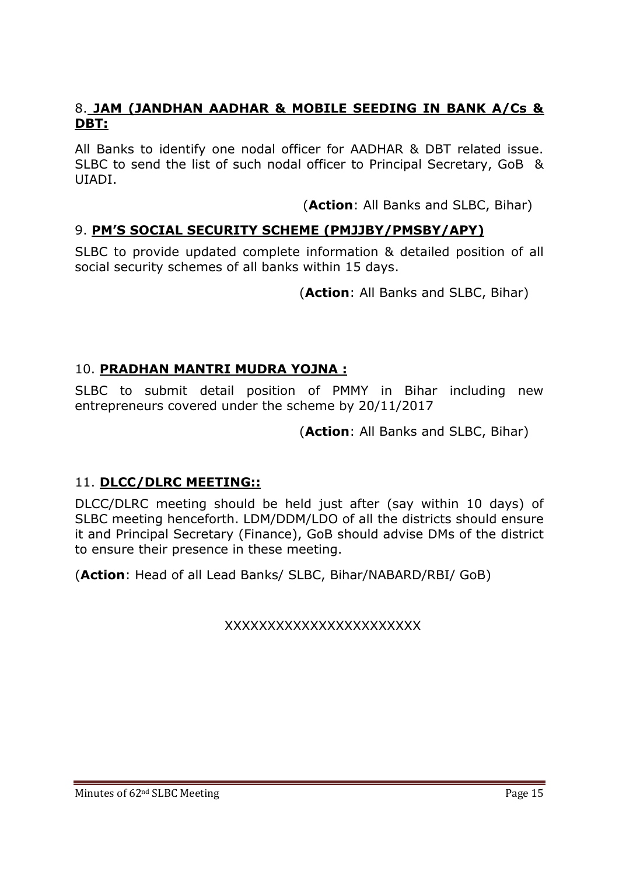## 8. **JAM (JANDHAN AADHAR & MOBILE SEEDING IN BANK A/Cs & DBT:**

All Banks to identify one nodal officer for AADHAR & DBT related issue. SLBC to send the list of such nodal officer to Principal Secretary, GoB & UIADI.

(**Action**: All Banks and SLBC, Bihar)

## 9. **PM'S SOCIAL SECURITY SCHEME (PMJJBY/PMSBY/APY)**

SLBC to provide updated complete information & detailed position of all social security schemes of all banks within 15 days.

(**Action**: All Banks and SLBC, Bihar)

## 10. **PRADHAN MANTRI MUDRA YOJNA :**

SLBC to submit detail position of PMMY in Bihar including new entrepreneurs covered under the scheme by 20/11/2017

(**Action**: All Banks and SLBC, Bihar)

## 11. **DLCC/DLRC MEETING::**

DLCC/DLRC meeting should be held just after (say within 10 days) of SLBC meeting henceforth. LDM/DDM/LDO of all the districts should ensure it and Principal Secretary (Finance), GoB should advise DMs of the district to ensure their presence in these meeting.

(**Action**: Head of all Lead Banks/ SLBC, Bihar/NABARD/RBI/ GoB)

XXXXXXXXXXXXXXXXXXXXXXX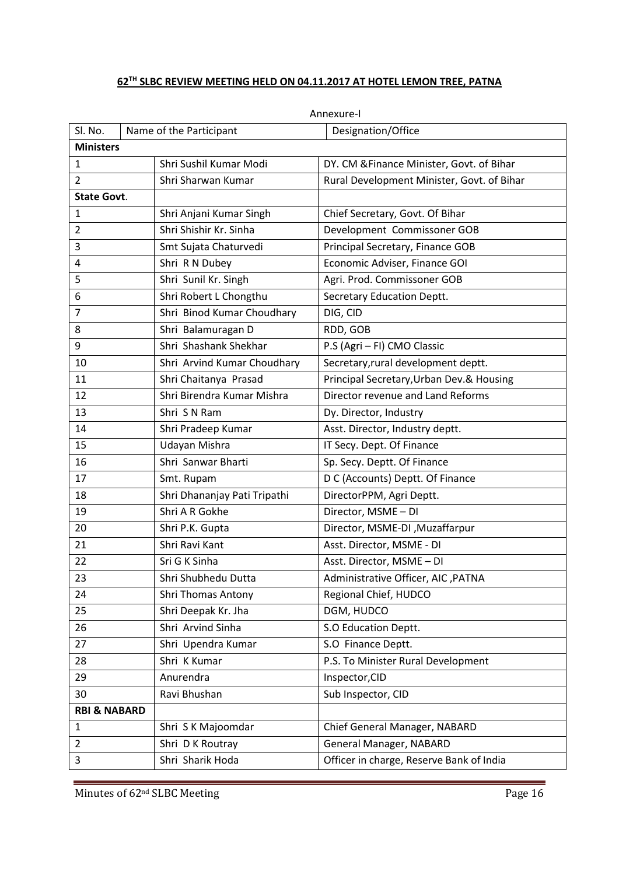#### **TH SLBC REVIEW MEETING HELD ON 04.11.2017 AT HOTEL LEMON TREE, PATNA**

| SI. No.                              |                                            | Name of the Participant      | Designation/Office                         |  |  |  |
|--------------------------------------|--------------------------------------------|------------------------------|--------------------------------------------|--|--|--|
|                                      | <b>Ministers</b><br>Shri Sushil Kumar Modi |                              |                                            |  |  |  |
| $\mathbf{1}$                         |                                            | Shri Sharwan Kumar           | DY. CM & Finance Minister, Govt. of Bihar  |  |  |  |
| $\overline{2}$<br><b>State Govt.</b> |                                            |                              | Rural Development Minister, Govt. of Bihar |  |  |  |
| $\mathbf{1}$                         |                                            | Shri Anjani Kumar Singh      | Chief Secretary, Govt. Of Bihar            |  |  |  |
| $\overline{2}$                       |                                            | Shri Shishir Kr. Sinha       | Development Commissoner GOB                |  |  |  |
| 3                                    |                                            | Smt Sujata Chaturvedi        | Principal Secretary, Finance GOB           |  |  |  |
| 4                                    |                                            | Shri R N Dubey               | Economic Adviser, Finance GOI              |  |  |  |
| 5                                    |                                            | Shri Sunil Kr. Singh         | Agri. Prod. Commissoner GOB                |  |  |  |
| 6                                    |                                            | Shri Robert L Chongthu       | Secretary Education Deptt.                 |  |  |  |
| $\overline{7}$                       |                                            | Shri Binod Kumar Choudhary   | DIG, CID                                   |  |  |  |
| 8                                    |                                            | Shri Balamuragan D           | RDD, GOB                                   |  |  |  |
| 9                                    |                                            | Shri Shashank Shekhar        | P.S (Agri - FI) CMO Classic                |  |  |  |
| 10                                   |                                            | Shri Arvind Kumar Choudhary  | Secretary, rural development deptt.        |  |  |  |
| 11                                   |                                            | Shri Chaitanya Prasad        | Principal Secretary, Urban Dev.& Housing   |  |  |  |
| 12                                   |                                            | Shri Birendra Kumar Mishra   | Director revenue and Land Reforms          |  |  |  |
| 13                                   |                                            | Shri S N Ram                 | Dy. Director, Industry                     |  |  |  |
| 14                                   |                                            | Shri Pradeep Kumar           | Asst. Director, Industry deptt.            |  |  |  |
| 15                                   |                                            | Udayan Mishra                | IT Secy. Dept. Of Finance                  |  |  |  |
| 16                                   |                                            | Shri Sanwar Bharti           | Sp. Secy. Deptt. Of Finance                |  |  |  |
| 17                                   |                                            | Smt. Rupam                   | D C (Accounts) Deptt. Of Finance           |  |  |  |
| 18                                   |                                            | Shri Dhananjay Pati Tripathi | DirectorPPM, Agri Deptt.                   |  |  |  |
| 19                                   |                                            | Shri A R Gokhe               | Director, MSME - DI                        |  |  |  |
| 20                                   |                                            | Shri P.K. Gupta              | Director, MSME-DI, Muzaffarpur             |  |  |  |
| 21                                   |                                            | Shri Ravi Kant               | Asst. Director, MSME - DI                  |  |  |  |
| 22                                   |                                            | Sri G K Sinha                | Asst. Director, MSME - DI                  |  |  |  |
| 23                                   |                                            | Shri Shubhedu Dutta          | Administrative Officer, AIC, PATNA         |  |  |  |
| 24                                   |                                            | Shri Thomas Antony           | Regional Chief, HUDCO                      |  |  |  |
| 25                                   |                                            | Shri Deepak Kr. Jha          | DGM, HUDCO                                 |  |  |  |
| 26                                   |                                            | Shri Arvind Sinha            | S.O Education Deptt.                       |  |  |  |
| 27                                   |                                            | Shri Upendra Kumar           | S.O Finance Deptt.                         |  |  |  |
| 28                                   |                                            | Shri K Kumar                 | P.S. To Minister Rural Development         |  |  |  |
| 29                                   |                                            | Anurendra                    | Inspector, CID                             |  |  |  |
| 30                                   |                                            | Ravi Bhushan                 | Sub Inspector, CID                         |  |  |  |
| <b>RBI &amp; NABARD</b>              |                                            |                              |                                            |  |  |  |
| 1                                    |                                            | Shri S K Majoomdar           | Chief General Manager, NABARD              |  |  |  |
| $\overline{2}$                       |                                            | Shri D K Routray             | <b>General Manager, NABARD</b>             |  |  |  |
| 3                                    |                                            | Shri Sharik Hoda             | Officer in charge, Reserve Bank of India   |  |  |  |

Annexure-I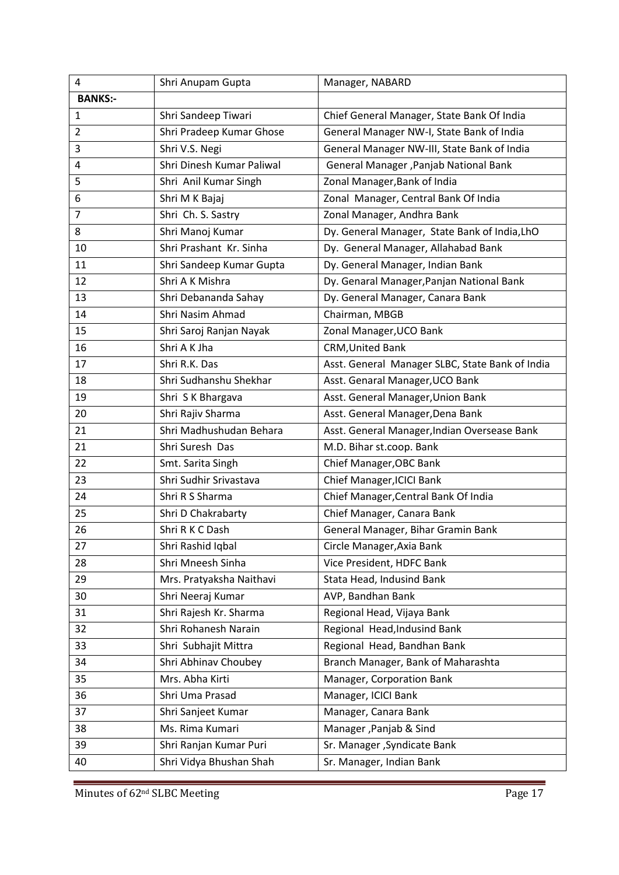| 4              | Shri Anupam Gupta         | Manager, NABARD                                 |
|----------------|---------------------------|-------------------------------------------------|
| <b>BANKS:-</b> |                           |                                                 |
| 1              | Shri Sandeep Tiwari       | Chief General Manager, State Bank Of India      |
| $\overline{2}$ | Shri Pradeep Kumar Ghose  | General Manager NW-I, State Bank of India       |
| 3              | Shri V.S. Negi            | General Manager NW-III, State Bank of India     |
| 4              | Shri Dinesh Kumar Paliwal | General Manager , Panjab National Bank          |
| 5              | Shri Anil Kumar Singh     | Zonal Manager, Bank of India                    |
| 6              | Shri M K Bajaj            | Zonal Manager, Central Bank Of India            |
| $\overline{7}$ | Shri Ch. S. Sastry        | Zonal Manager, Andhra Bank                      |
| 8              | Shri Manoj Kumar          | Dy. General Manager, State Bank of India, LhO   |
| 10             | Shri Prashant Kr. Sinha   | Dy. General Manager, Allahabad Bank             |
| 11             | Shri Sandeep Kumar Gupta  | Dy. General Manager, Indian Bank                |
| 12             | Shri A K Mishra           | Dy. Genaral Manager, Panjan National Bank       |
| 13             | Shri Debananda Sahay      | Dy. General Manager, Canara Bank                |
| 14             | Shri Nasim Ahmad          | Chairman, MBGB                                  |
| 15             | Shri Saroj Ranjan Nayak   | Zonal Manager, UCO Bank                         |
| 16             | Shri A K Jha              | <b>CRM, United Bank</b>                         |
| 17             | Shri R.K. Das             | Asst. General Manager SLBC, State Bank of India |
| 18             | Shri Sudhanshu Shekhar    | Asst. Genaral Manager, UCO Bank                 |
| 19             | Shri S K Bhargava         | Asst. General Manager, Union Bank               |
| 20             | Shri Rajiv Sharma         | Asst. General Manager, Dena Bank                |
| 21             | Shri Madhushudan Behara   | Asst. General Manager, Indian Oversease Bank    |
| 21             | Shri Suresh Das           | M.D. Bihar st.coop. Bank                        |
| 22             | Smt. Sarita Singh         | Chief Manager, OBC Bank                         |
| 23             | Shri Sudhir Srivastava    | Chief Manager, ICICI Bank                       |
| 24             | Shri R S Sharma           | Chief Manager, Central Bank Of India            |
| 25             | Shri D Chakrabarty        | Chief Manager, Canara Bank                      |
| 26             | Shri R K C Dash           | General Manager, Bihar Gramin Bank              |
| 27             | Shri Rashid Iqbal         | Circle Manager, Axia Bank                       |
| 28             | Shri Mneesh Sinha         | Vice President, HDFC Bank                       |
| 29             | Mrs. Pratyaksha Naithavi  | Stata Head, Indusind Bank                       |
| 30             | Shri Neeraj Kumar         | AVP, Bandhan Bank                               |
| 31             | Shri Rajesh Kr. Sharma    | Regional Head, Vijaya Bank                      |
| 32             | Shri Rohanesh Narain      | Regional Head, Indusind Bank                    |
| 33             | Shri Subhajit Mittra      | Regional Head, Bandhan Bank                     |
| 34             | Shri Abhinav Choubey      | Branch Manager, Bank of Maharashta              |
| 35             | Mrs. Abha Kirti           | Manager, Corporation Bank                       |
| 36             | Shri Uma Prasad           | Manager, ICICI Bank                             |
| 37             | Shri Sanjeet Kumar        | Manager, Canara Bank                            |
| 38             | Ms. Rima Kumari           | Manager, Panjab & Sind                          |
| 39             | Shri Ranjan Kumar Puri    | Sr. Manager , Syndicate Bank                    |
| 40             | Shri Vidya Bhushan Shah   | Sr. Manager, Indian Bank                        |